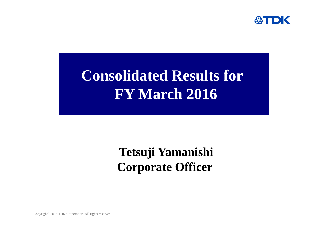

# **Consolidated Results for FY March 2016**

## **Tetsuji Yamanishi Corporate Officer**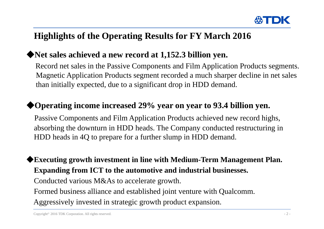

## **Highlights of the Operating Results for FY March 2016**

### ◆**Net sales achieved a new record at 1,152.3 billion yen.**

Record net sales in the Passive Components and Film Application Products segments. Magnetic Application Products segment recorded a much sharper decline in net sales than initially expected, due to a significant drop in HDD demand.

#### ◆**Operating income increased 29% year on year to 93.4 billion yen.**

Passive Components and Film Application Products achieved new record highs, absorbing the downturn in HDD heads. The Company conducted restructuring in HDD heads in 4Q to prepare for a further slump in HDD demand.

◆**Executing growth investment in line with Medium-Term Management Plan. Expanding from ICT to the automotive and industrial businesses.**

Conducted various M&As to accelerate growth.

Formed business alliance and established joint venture with Qualcomm.

Aggressively invested in strategic growth product expansion.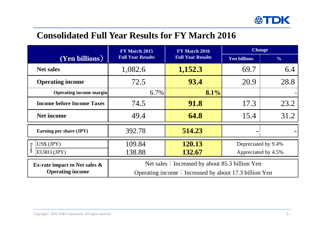

## **Consolidated Full Year Results for FY March 2016**

|                                    | FY March 2015                                         | FY March 2016            | <b>Change</b>       |               |  |
|------------------------------------|-------------------------------------------------------|--------------------------|---------------------|---------------|--|
| $\overline{\text{(Yen billions)}}$ | <b>Full Year Results</b>                              | <b>Full Year Results</b> | <b>Yen billions</b> | $\frac{0}{0}$ |  |
| <b>Net sales</b>                   | 1,082.6                                               | 1,152.3                  | 69.7                | 6.4           |  |
| <b>Operating income</b>            | 72.5                                                  | 93.4                     | 20.9                | 28.8          |  |
| <b>Operating income margin</b>     | 6.7%                                                  |                          |                     |               |  |
| <b>Income before Income Taxes</b>  | 74.5                                                  | <b>91.8</b>              | 17.3                | 23.2          |  |
| <b>Net income</b>                  | 49.4                                                  | 64.8                     | 15.4                | 31.2          |  |
| Earning per share (JPY)            | 392.78                                                | 514.23                   |                     |               |  |
| $US$$ $(IPY)$<br>Ex-rate           | 109.84                                                | 120.13                   | Depreciated by 9.4% |               |  |
| EURO (JPY)                         | 138.88                                                | 132.67                   | Appreciated by 4.5% |               |  |
| Ex-rate impact to Net sales $\&$   | Net sales: Increased by about 85.3 billion Yen        |                          |                     |               |  |
| <b>Operating income</b>            | Operating income: Increased by about 17.3 billion Yen |                          |                     |               |  |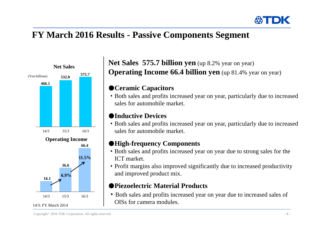

## **FY March 2016 Results - Passive Components Segment**



#### **Net Sales 575.7 billion yen** (up 8.2% year on year) **Operating Income 66.4 billion yen** (up 81.4% year on year)

#### ●**Ceramic Capacitors**

・Both sales and profits increased year on year, particularly due to increased sales for automobile market.

#### ●**Inductive Devices**

・Both sales and profits increased year on year, particularly due to increased sales for automobile market.

#### ●**High-frequency Components**

- ・Both sales and profits increased year on year due to strong sales for the ICT market.
- ・Profit margins also improved significantly due to increased productivity and improved product mix.

#### ●**Piezoelectric Material Products**

・Both sales and profits increased year on year due to increased sales of OISs for camera modules.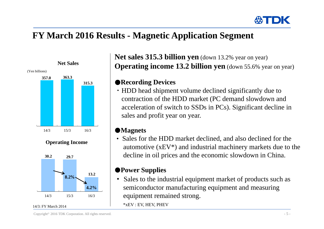

## **FY March 2016 Results - Magnetic Application Segment**



**Net sales 315.3 billion yen** (down 13.2% year on year) **Operating income 13.2 billion yen** (down 55.6% year on year)

#### ●**Recording Devices**

・HDD head shipment volume declined significantly due to contraction of the HDD market (PC demand slowdown and acceleration of switch to SSDs in PCs). Significant decline in sales and profit year on year.

#### ●**Magnets**

• Sales for the HDD market declined, and also declined for the automotive (xEV\*) and industrial machinery markets due to the decline in oil prices and the economic slowdown in China.

#### ●**Power Supplies**

 $\bullet$  Sales to the industrial equipment market of products such as semiconductor manufacturing equipment and measuring equipment remained strong.

\*xEV : EV, HEV, PHEV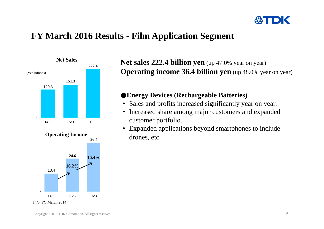

## **FY March 2016 Results - Film Application Segment**



**Net sales 222.4 billion yen** (up 47.0% year on year) **Operating income 36.4 billion yen** (up 48.0% year on year)

#### ●**Energy Devices (Rechargeable Batteries)**

- $\bullet$ Sales and profits increased significantly year on year.
- $\bullet$  Increased share among major customers and expanded customer portfolio.
- $\bullet$  Expanded applications beyond smartphones to include drones, etc.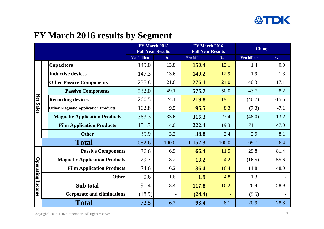

## **FY March 2016 results by Segment**

|                     |                                            | FY March 2015<br><b>Full Year Results</b> |                          | FY March 2016<br><b>Full Year Results</b> |       | <b>Change</b>      |               |
|---------------------|--------------------------------------------|-------------------------------------------|--------------------------|-------------------------------------------|-------|--------------------|---------------|
|                     |                                            | <b>Yen billion</b>                        | %                        | <b>Yen billion</b>                        | %     | <b>Yen billion</b> | $\frac{0}{0}$ |
|                     | <b>Capacitors</b>                          | 149.0                                     | 13.8                     | 150.4                                     | 13.1  | 1.4                | 0.9           |
| <b>Net Sales</b>    | <b>Inductive devices</b>                   | 147.3                                     | 13.6                     | 149.2                                     | 12.9  | 1.9                | 1.3           |
|                     | <b>Other Passive Components</b>            | 235.8                                     | 21.8                     | 276.1                                     | 24.0  | 40.3               | 17.1          |
|                     | <b>Passive Components</b>                  | 532.0                                     | 49.1                     | 575.7                                     | 50.0  | 43.7               | 8.2           |
|                     | <b>Recording devices</b>                   | 260.5                                     | 24.1                     | 219.8                                     | 19.1  | (40.7)             | $-15.6$       |
|                     | <b>Other Magnetic Application Products</b> | 102.8                                     | 9.5                      | 95.5                                      | 8.3   | (7.3)              | $-7.1$        |
|                     | <b>Magnetic Application Products</b>       | 363.3                                     | 33.6                     | 315.3                                     | 27.4  | (48.0)             | $-13.2$       |
|                     | <b>Film Application Products</b>           | 151.3                                     | 14.0                     | 222.4                                     | 19.3  | 71.1               | 47.0          |
|                     | <b>Other</b>                               | 35.9                                      | 3.3                      | 38.8                                      | 3.4   | 2.9                | 8.1           |
|                     | <b>Total</b>                               | 1,082.6                                   | 100.0                    | 1,152.3                                   | 100.0 | 69.7               | 6.4           |
| Operating<br>Income | <b>Passive Components</b>                  | 36.6                                      | 6.9                      | 66.4                                      | 11.5  | 29.8               | 81.4          |
|                     | <b>Magnetic Application Products</b>       | 29.7                                      | 8.2                      | 13.2                                      | 4.2   | (16.5)             | $-55.6$       |
|                     | <b>Film Application Products</b>           | 24.6                                      | 16.2                     | 36.4                                      | 16.4  | 11.8               | 48.0          |
|                     | <b>Other</b>                               | 0.6                                       | 1.6                      | 1.9                                       | 4.8   | 1.3                |               |
|                     | Sub total                                  | 91.4                                      | 8.4                      | 117.8                                     | 10.2  | 26.4               | 28.9          |
|                     | <b>Corporate and eliminations</b>          | (18.9)                                    | $\overline{\phantom{0}}$ | (24.4)                                    | ÷,    | (5.5)              |               |
|                     | <b>Total</b>                               | 72.5                                      | 6.7                      | 93.4                                      | 8.1   | 20.9               | 28.8          |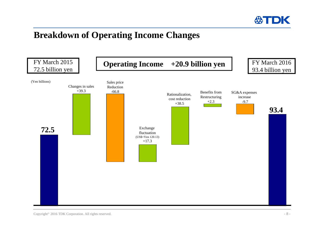

## **Breakdown of Operating Income Changes**

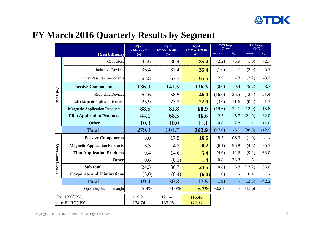## **FY March 2016 Quarterly Results by Segment**

|                         |                                      | 4Q of<br>3Q of<br>FY March 2015<br>FY March 2016 | 4Q of<br>FY March 2016<br>(C) | <b>YoY</b> Change<br>$(C)$ - $(A)$ |                     | <b>QoQ</b> Change<br>$(C)-(B)$ |              |               |
|-------------------------|--------------------------------------|--------------------------------------------------|-------------------------------|------------------------------------|---------------------|--------------------------------|--------------|---------------|
| (Yen billions)          |                                      | (A)                                              |                               | (B)                                | <b>Yen billions</b> | $\frac{0}{0}$                  | Yen billions | $\frac{0}{0}$ |
|                         | Capacitors                           | 37.6                                             | 36.4                          | 35.4                               | (2.2)               | $-5.9$                         | (1.0)        | $-2.7$        |
|                         | <b>Inductive Devices</b>             | 36.4                                             | 37.4                          | 35.4                               | (1.0)               | $-2.7$                         | (2.0)        | $-5.3$        |
| Net Sales               | <b>Other Passive Components</b>      | 62.8                                             | 67.7                          | 65.5                               | 2.7                 | 4.3                            | (2.2)        | $-3.2$        |
|                         | <b>Passive Components</b>            | 136.9                                            | 141.5                         | 136.3                              | (0.6)               | $-0.4$                         | (5.2)        | $-3.7$        |
|                         | <b>Recording Devices</b>             | 62.6                                             | 58.5                          | 46.0                               | (16.6)              | $-26.5$                        | (12.5)       | $-21.4$       |
|                         | Other Magnetic Application Products  | 25.9                                             | 23.3                          | 22.9                               | (3.0)               | $-11.6$                        | (0.4)        | $-1.7$        |
|                         | <b>Magnetic Application Products</b> | 88.5                                             | 81.8                          | 68.9                               | (19.6)              | $-22.1$                        | (12.9)       | $-15.8$       |
|                         | <b>Film Application Products</b>     | 44.1                                             | 68.5                          | 46.6                               | 2.5                 | 5.7                            | (21.9)       | $-32.0$       |
|                         | <b>Other</b>                         | 10.3                                             | 10.0                          | 11.1                               | 0.8                 | 7.8                            | 1.1          | 11.0          |
|                         | <b>Total</b>                         | 279.9                                            | 301.7                         | 262.9                              | (17.0)              | $-6.1$                         | (38.8)       | $-12.9$       |
| <b>Operating Income</b> | <b>Passive Components</b>            | 8.0                                              | 17.5                          | 16.5                               | 8.5                 | 106.3                          | (1.0)        | $-5.7$        |
|                         | <b>Magnetic Application Products</b> | 6.3                                              | 4.7                           | 0.2                                | (6.1)               | $-96.8$                        | (4.5)        | $-95.7$       |
|                         | <b>Film Application Products</b>     | 9.4                                              | 14.6                          | 5.4                                | (4.0)               | $-42.6$                        | (9.2)        | $-63.0$       |
|                         | <b>Other</b>                         | 0.6                                              | (0.1)                         | 1.4                                | 0.8                 | 133.3                          | 1.5          |               |
|                         | Sub total                            | 24.3                                             | 36.7                          | 23.5                               | (0.8)               | $-3.3$                         | (13.2)       | $-36.0$       |
|                         | <b>Corporate and Eliminations</b>    | (5.0)                                            | (6.4)                         | (6.0)                              | (1.0)               |                                | 0.4          |               |
|                         | <b>Total</b>                         | 19.4                                             | 30.3                          | 17.5                               | (1.9)               |                                | (12.8)       | $-42.2$       |
|                         | Operating Income margin              | 6.9%                                             | 10.0%                         | 6.7%                               | $-0.2pt$            |                                | $-3.3pt$     |               |
| Ex-                     | US\$(JPY)                            | 119.21                                           | 121.41                        | 115.46                             |                     |                                |              |               |
|                         | rate EURO(JPY)                       | 134.74                                           | 133.05                        | 127.37                             |                     |                                |              |               |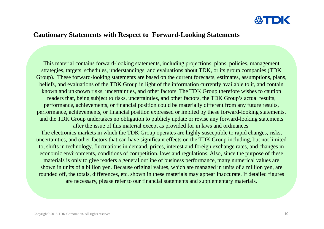

#### **Cautionary Statements with Respect to Forward-Looking Statements**

This material contains forward-looking statements, including projections, plans, policies, management strategies, targets, schedules, understandings, and evaluations about TDK, or its group companies (TDK Group). These forward-looking statements are based on the current forecasts, estimates, assumptions, plans, beliefs, and evaluations of the TDK Group in light of the information currently available to it, and contain known and unknown risks, uncertainties, and other factors. The TDK Group therefore wishes to caution readers that, being subject to risks, uncertainties, and other factors, the TDK Group's actual results, performance, achievements, or financial position could be materially different from any future results, performance, achievements, or financial position expressed or implied by these forward-looking statements, and the TDK Group undertakes no obligation to publicly update or revise any forward-looking statements after the issue of this material except as provided for in laws and ordinances. The electronics markets in which the TDK Group operates are highly susceptible to rapid changes, risks, uncertainties, and other factors that can have significant effects on the TDK Group including, but not limited to, shifts in technology, fluctuations in demand, prices, interest and foreign exchange rates, and changes in economic environments, conditions of competition, laws and regulations. Also, since the purpose of these materials is only to give readers a general outline of business performance, many numerical values are shown in units of a billion yen. Because original values, which are managed in units of a million yen, are rounded off, the totals, differences, etc. shown in these materials may appear inaccurate. If detailed figures